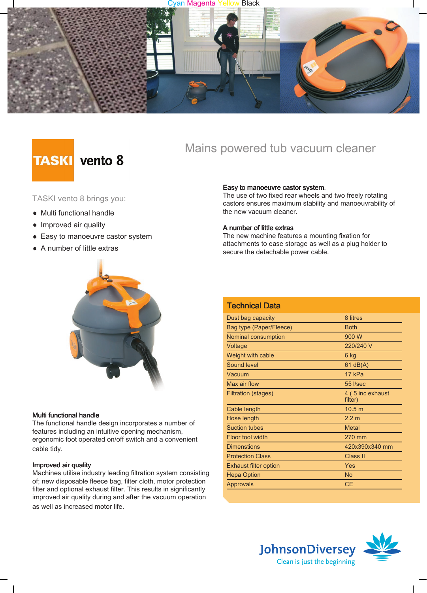### Cyan Magenta Yellow Black



# **TASKI** vento 8

### TASKI vento 8 brings you:

- Multi functional handle
- Improved air quality
- Easy to manoeuvre castor system
- A number of little extras



### Multi functional handle

The functional handle design incorporates a number of features including an intuitive opening mechanism, ergonomic foot operated on/off switch and a convenient cable tidy.

### Improved air quality

Machines utilise industry leading filtration system consisting of; new disposable fleece bag, filter cloth, motor protection filter and optional exhaust filter. This results in significantly improved air quality during and after the vacuum operation as well as increased motor life.

Mains powered tub vacuum cleaner

### Easy to manoeuvre castor system.

The use of two fixed rear wheels and two freely rotating castors ensures maximum stability and manoeuvrability of the new vacuum cleaner.

### A number of little extras

The new machine features a mounting fixation for attachments to ease storage as well as a plug holder to secure the detachable power cable.

| <b>Technical Data</b>        |                             |
|------------------------------|-----------------------------|
| Dust bag capacity            | 8 litres                    |
| Bag type (Paper/Fleece)      | <b>Both</b>                 |
| Nominal consumption          | 900 W                       |
| Voltage                      | 220/240 V                   |
| Weight with cable            | 6 kg                        |
| <b>Sound level</b>           | $61$ dB(A)                  |
| Vacuum                       | 17 kPa                      |
| Max air flow                 | 55 I/sec                    |
| Filtration (stages)          | 4 (5 inc exhaust<br>filter) |
| Cable length                 | 10.5 m                      |
| Hose length                  | 2.2 <sub>m</sub>            |
| <b>Suction tubes</b>         | <b>Metal</b>                |
| Floor tool width             | 270 mm                      |
| <b>Dimenstions</b>           | 420x390x340 mm              |
| <b>Protection Class</b>      | Class II                    |
| <b>Exhaust filter option</b> | Yes                         |
| <b>Hepa Option</b>           | <b>No</b>                   |
| <b>Approvals</b>             | <b>CE</b>                   |